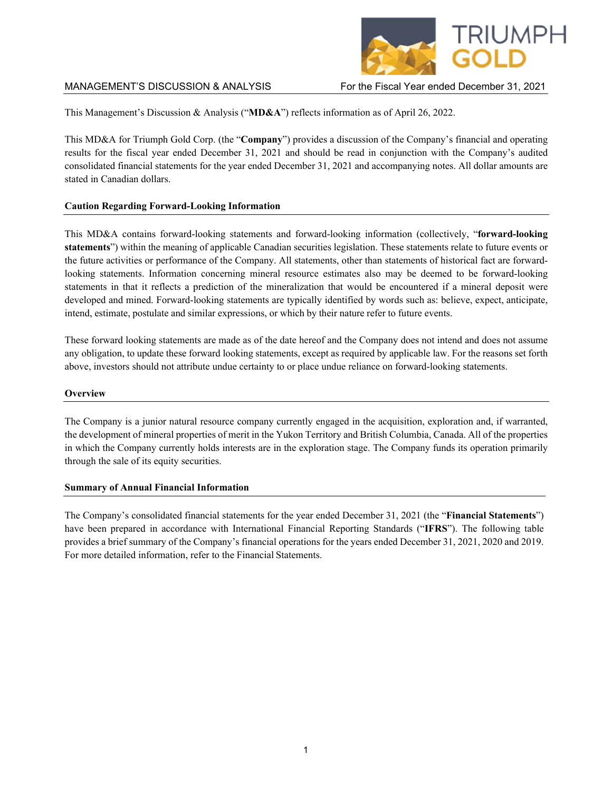

This Management's Discussion & Analysis ("**MD&A**") reflects information as of April 26, 2022.

This MD&A for Triumph Gold Corp. (the "**Company**") provides a discussion of the Company's financial and operating results for the fiscal year ended December 31, 2021 and should be read in conjunction with the Company's audited consolidated financial statements for the year ended December 31, 2021 and accompanying notes. All dollar amounts are stated in Canadian dollars.

# **Caution Regarding Forward-Looking Information**

This MD&A contains forward-looking statements and forward-looking information (collectively, "**forward-looking statements**") within the meaning of applicable Canadian securities legislation. These statements relate to future events or the future activities or performance of the Company. All statements, other than statements of historical fact are forwardlooking statements. Information concerning mineral resource estimates also may be deemed to be forward-looking statements in that it reflects a prediction of the mineralization that would be encountered if a mineral deposit were developed and mined. Forward-looking statements are typically identified by words such as: believe, expect, anticipate, intend, estimate, postulate and similar expressions, or which by their nature refer to future events.

These forward looking statements are made as of the date hereof and the Company does not intend and does not assume any obligation, to update these forward looking statements, except as required by applicable law. For the reasons set forth above, investors should not attribute undue certainty to or place undue reliance on forward-looking statements.

## **Overview**

The Company is a junior natural resource company currently engaged in the acquisition, exploration and, if warranted, the development of mineral properties of merit in the Yukon Territory and British Columbia, Canada. All of the properties in which the Company currently holds interests are in the exploration stage. The Company funds its operation primarily through the sale of its equity securities.

## **Summary of Annual Financial Information**

The Company's consolidated financial statements for the year ended December 31, 2021 (the "**Financial Statements**") have been prepared in accordance with International Financial Reporting Standards ("**IFRS**"). The following table provides a brief summary of the Company's financial operations for the years ended December 31, 2021, 2020 and 2019. For more detailed information, refer to the Financial Statements.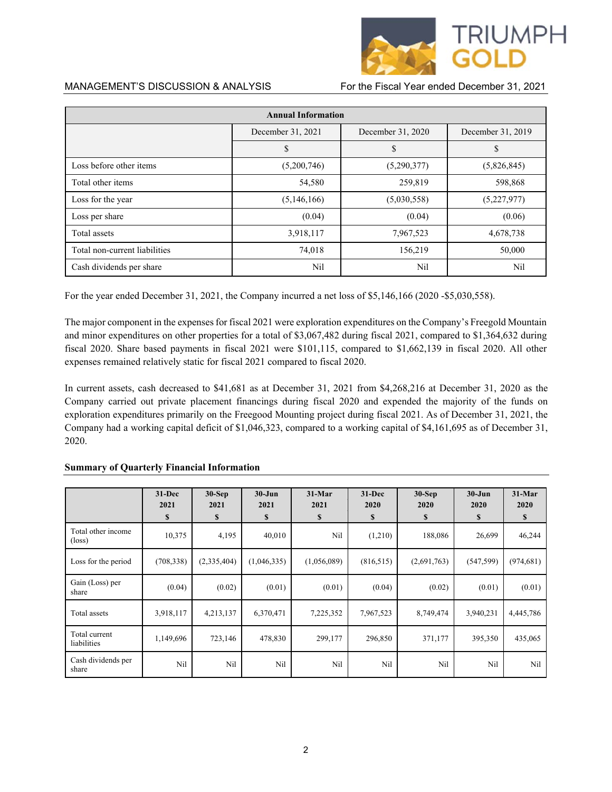

| <b>Annual Information</b>     |                   |                   |                   |  |
|-------------------------------|-------------------|-------------------|-------------------|--|
|                               | December 31, 2021 | December 31, 2020 | December 31, 2019 |  |
|                               | \$                | \$                | D                 |  |
| Loss before other items       | (5,200,746)       | (5,290,377)       | (5,826,845)       |  |
| Total other items             | 54,580            | 259,819           | 598,868           |  |
| Loss for the year             | (5,146,166)       | (5,030,558)       | (5,227,977)       |  |
| Loss per share                | (0.04)            | (0.04)            | (0.06)            |  |
| Total assets                  | 3,918,117         | 7,967,523         | 4,678,738         |  |
| Total non-current liabilities | 74,018            | 156,219           | 50,000            |  |
| Cash dividends per share      | Nil               | Nil               | Nil               |  |

For the year ended December 31, 2021, the Company incurred a net loss of \$5,146,166 (2020 -\$5,030,558).

The major component in the expenses for fiscal 2021 were exploration expenditures on the Company's Freegold Mountain and minor expenditures on other properties for a total of \$3,067,482 during fiscal 2021, compared to \$1,364,632 during fiscal 2020. Share based payments in fiscal 2021 were \$101,115, compared to \$1,662,139 in fiscal 2020. All other expenses remained relatively static for fiscal 2021 compared to fiscal 2020.

In current assets, cash decreased to \$41,681 as at December 31, 2021 from \$4,268,216 at December 31, 2020 as the Company carried out private placement financings during fiscal 2020 and expended the majority of the funds on exploration expenditures primarily on the Freegood Mounting project during fiscal 2021. As of December 31, 2021, the Company had a working capital deficit of \$1,046,323, compared to a working capital of \$4,161,695 as of December 31, 2020.

|                                       | $31 - Dec$<br>2021<br>\$ | $30-Sep$<br>2021<br>\$ | $30 - Jun$<br>2021<br>\$ | $31-Mar$<br>2021<br>\$ | $31 - Dec$<br>2020<br>\$ | $30-Sep$<br>2020<br>$\mathbf{s}$ | $30 - Jun$<br>2020<br>\$ | $31-Mar$<br>2020<br>\$ |
|---------------------------------------|--------------------------|------------------------|--------------------------|------------------------|--------------------------|----------------------------------|--------------------------|------------------------|
| Total other income<br>$(\text{loss})$ | 10,375                   | 4,195                  | 40,010                   | Nil                    | (1,210)                  | 188,086                          | 26,699                   | 46,244                 |
| Loss for the period                   | (708, 338)               | (2,335,404)            | (1,046,335)              | (1,056,089)            | (816,515)                | (2,691,763)                      | (547, 599)               | (974, 681)             |
| Gain (Loss) per<br>share              | (0.04)                   | (0.02)                 | (0.01)                   | (0.01)                 | (0.04)                   | (0.02)                           | (0.01)                   | (0.01)                 |
| Total assets                          | 3,918,117                | 4,213,137              | 6,370,471                | 7,225,352              | 7,967,523                | 8,749,474                        | 3,940,231                | 4,445,786              |
| Total current<br>liabilities          | 1,149,696                | 723,146                | 478,830                  | 299,177                | 296,850                  | 371,177                          | 395,350                  | 435,065                |
| Cash dividends per<br>share           | Nil                      | Nil                    | Nil                      | Nil                    | Nil                      | Nil                              | Nil                      | Nil                    |

### **Summary of Quarterly Financial Information**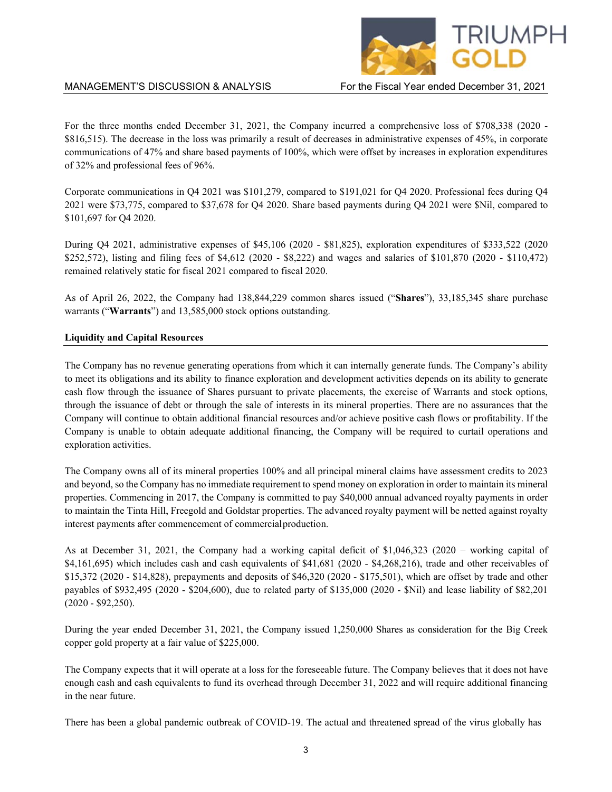

For the three months ended December 31, 2021, the Company incurred a comprehensive loss of \$708,338 (2020 - \$816,515). The decrease in the loss was primarily a result of decreases in administrative expenses of 45%, in corporate communications of 47% and share based payments of 100%, which were offset by increases in exploration expenditures of 32% and professional fees of 96%.

Corporate communications in Q4 2021 was \$101,279, compared to \$191,021 for Q4 2020. Professional fees during Q4 2021 were \$73,775, compared to \$37,678 for Q4 2020. Share based payments during Q4 2021 were \$Nil, compared to \$101,697 for Q4 2020.

During Q4 2021, administrative expenses of \$45,106 (2020 - \$81,825), exploration expenditures of \$333,522 (2020 \$252,572), listing and filing fees of \$4,612 (2020 - \$8,222) and wages and salaries of \$101,870 (2020 - \$110,472) remained relatively static for fiscal 2021 compared to fiscal 2020.

As of April 26, 2022, the Company had 138,844,229 common shares issued ("**Shares**"), 33,185,345 share purchase warrants ("**Warrants**") and 13,585,000 stock options outstanding.

### **Liquidity and Capital Resources**

The Company has no revenue generating operations from which it can internally generate funds. The Company's ability to meet its obligations and its ability to finance exploration and development activities depends on its ability to generate cash flow through the issuance of Shares pursuant to private placements, the exercise of Warrants and stock options, through the issuance of debt or through the sale of interests in its mineral properties. There are no assurances that the Company will continue to obtain additional financial resources and/or achieve positive cash flows or profitability. If the Company is unable to obtain adequate additional financing, the Company will be required to curtail operations and exploration activities.

The Company owns all of its mineral properties 100% and all principal mineral claims have assessment credits to 2023 and beyond, so the Company has no immediate requirement to spend money on exploration in order to maintain its mineral properties. Commencing in 2017, the Company is committed to pay \$40,000 annual advanced royalty payments in order to maintain the Tinta Hill, Freegold and Goldstar properties. The advanced royalty payment will be netted against royalty interest payments after commencement of commercial production.

As at December 31, 2021, the Company had a working capital deficit of \$1,046,323 (2020 – working capital of  $$4,161,695$ ) which includes cash and cash equivalents of  $$41,681$  (2020 -  $$4,268,216$ ), trade and other receivables of \$15,372 (2020 - \$14,828), prepayments and deposits of \$46,320 (2020 - \$175,501), which are offset by trade and other payables of \$932,495 (2020 - \$204,600), due to related party of \$135,000 (2020 - \$Nil) and lease liability of \$82,201 (2020 - \$92,250).

During the year ended December 31, 2021, the Company issued 1,250,000 Shares as consideration for the Big Creek copper gold property at a fair value of \$225,000.

The Company expects that it will operate at a loss for the foreseeable future. The Company believes that it does not have enough cash and cash equivalents to fund its overhead through December 31, 2022 and will require additional financing in the near future.

There has been a global pandemic outbreak of COVID-19. The actual and threatened spread of the virus globally has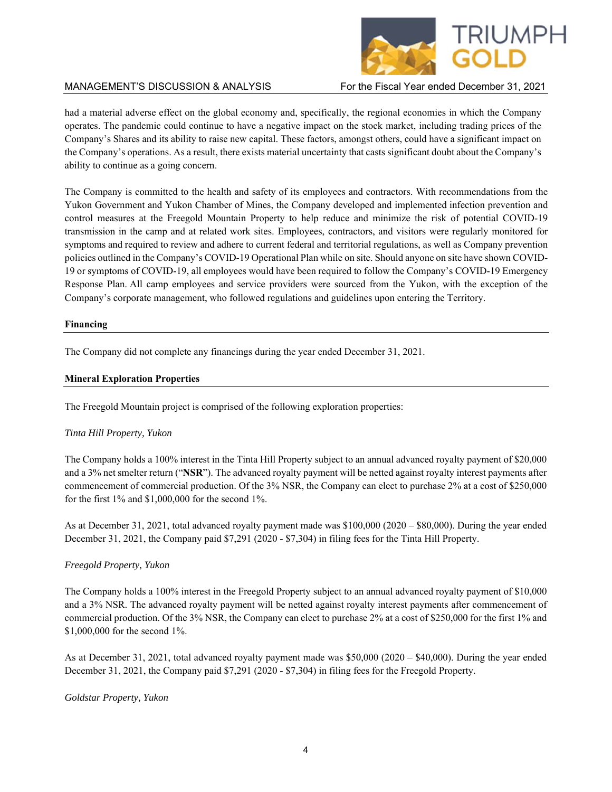

had a material adverse effect on the global economy and, specifically, the regional economies in which the Company operates. The pandemic could continue to have a negative impact on the stock market, including trading prices of the Company's Shares and its ability to raise new capital. These factors, amongst others, could have a significant impact on the Company's operations. As a result, there exists material uncertainty that casts significant doubt about the Company's ability to continue as a going concern.

The Company is committed to the health and safety of its employees and contractors. With recommendations from the Yukon Government and Yukon Chamber of Mines, the Company developed and implemented infection prevention and control measures at the Freegold Mountain Property to help reduce and minimize the risk of potential COVID-19 transmission in the camp and at related work sites. Employees, contractors, and visitors were regularly monitored for symptoms and required to review and adhere to current federal and territorial regulations, as well as Company prevention policies outlined in the Company's COVID-19 Operational Plan while on site. Should anyone on site have shown COVID-19 or symptoms of COVID-19, all employees would have been required to follow the Company's COVID-19 Emergency Response Plan. All camp employees and service providers were sourced from the Yukon, with the exception of the Company's corporate management, who followed regulations and guidelines upon entering the Territory.

## **Financing**

The Company did not complete any financings during the year ended December 31, 2021.

## **Mineral Exploration Properties**

The Freegold Mountain project is comprised of the following exploration properties:

## *Tinta Hill Property, Yukon*

The Company holds a 100% interest in the Tinta Hill Property subject to an annual advanced royalty payment of \$20,000 and a 3% net smelter return ("**NSR**"). The advanced royalty payment will be netted against royalty interest payments after commencement of commercial production. Of the 3% NSR, the Company can elect to purchase 2% at a cost of \$250,000 for the first 1% and \$1,000,000 for the second 1%.

As at December 31, 2021, total advanced royalty payment made was \$100,000 (2020 – \$80,000). During the year ended December 31, 2021, the Company paid \$7,291 (2020 - \$7,304) in filing fees for the Tinta Hill Property.

## *Freegold Property, Yukon*

The Company holds a 100% interest in the Freegold Property subject to an annual advanced royalty payment of \$10,000 and a 3% NSR. The advanced royalty payment will be netted against royalty interest payments after commencement of commercial production. Of the 3% NSR, the Company can elect to purchase 2% at a cost of \$250,000 for the first 1% and \$1,000,000 for the second 1%.

As at December 31, 2021, total advanced royalty payment made was \$50,000 (2020 – \$40,000). During the year ended December 31, 2021, the Company paid \$7,291 (2020 - \$7,304) in filing fees for the Freegold Property.

### *Goldstar Property, Yukon*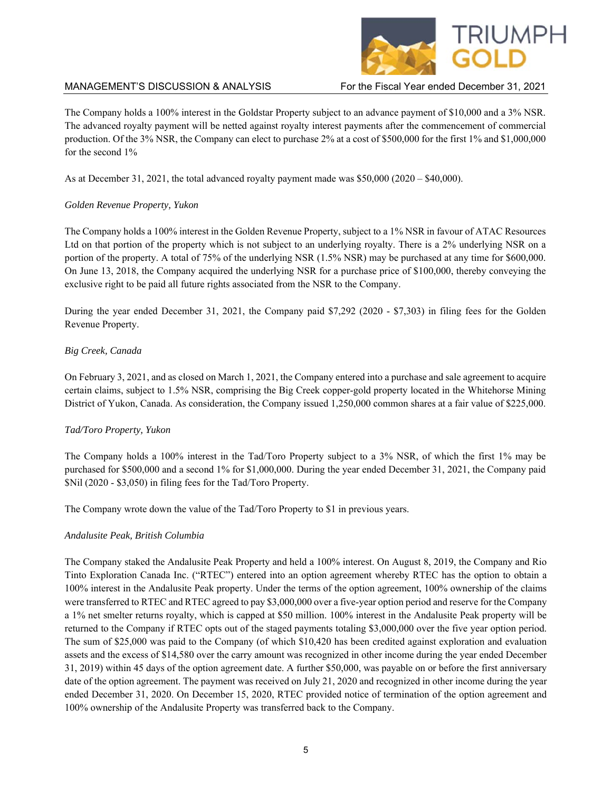

The Company holds a 100% interest in the Goldstar Property subject to an advance payment of \$10,000 and a 3% NSR. The advanced royalty payment will be netted against royalty interest payments after the commencement of commercial production. Of the 3% NSR, the Company can elect to purchase 2% at a cost of \$500,000 for the first 1% and \$1,000,000 for the second 1%

As at December 31, 2021, the total advanced royalty payment made was \$50,000 (2020 – \$40,000).

# *Golden Revenue Property, Yukon*

The Company holds a 100% interest in the Golden Revenue Property, subject to a 1% NSR in favour of ATAC Resources Ltd on that portion of the property which is not subject to an underlying royalty. There is a 2% underlying NSR on a portion of the property. A total of 75% of the underlying NSR (1.5% NSR) may be purchased at any time for \$600,000. On June 13, 2018, the Company acquired the underlying NSR for a purchase price of \$100,000, thereby conveying the exclusive right to be paid all future rights associated from the NSR to the Company.

During the year ended December 31, 2021, the Company paid \$7,292 (2020 - \$7,303) in filing fees for the Golden Revenue Property.

## *Big Creek, Canada*

On February 3, 2021, and as closed on March 1, 2021, the Company entered into a purchase and sale agreement to acquire certain claims, subject to 1.5% NSR, comprising the Big Creek copper-gold property located in the Whitehorse Mining District of Yukon, Canada. As consideration, the Company issued 1,250,000 common shares at a fair value of \$225,000.

## *Tad/Toro Property, Yukon*

The Company holds a 100% interest in the Tad/Toro Property subject to a 3% NSR, of which the first 1% may be purchased for \$500,000 and a second 1% for \$1,000,000. During the year ended December 31, 2021, the Company paid \$Nil (2020 - \$3,050) in filing fees for the Tad/Toro Property.

The Company wrote down the value of the Tad/Toro Property to \$1 in previous years.

## *Andalusite Peak, British Columbia*

The Company staked the Andalusite Peak Property and held a 100% interest. On August 8, 2019, the Company and Rio Tinto Exploration Canada Inc. ("RTEC") entered into an option agreement whereby RTEC has the option to obtain a 100% interest in the Andalusite Peak property. Under the terms of the option agreement, 100% ownership of the claims were transferred to RTEC and RTEC agreed to pay \$3,000,000 over a five-year option period and reserve for the Company a 1% net smelter returns royalty, which is capped at \$50 million. 100% interest in the Andalusite Peak property will be returned to the Company if RTEC opts out of the staged payments totaling \$3,000,000 over the five year option period. The sum of \$25,000 was paid to the Company (of which \$10,420 has been credited against exploration and evaluation assets and the excess of \$14,580 over the carry amount was recognized in other income during the year ended December 31, 2019) within 45 days of the option agreement date. A further \$50,000, was payable on or before the first anniversary date of the option agreement. The payment was received on July 21, 2020 and recognized in other income during the year ended December 31, 2020. On December 15, 2020, RTEC provided notice of termination of the option agreement and 100% ownership of the Andalusite Property was transferred back to the Company.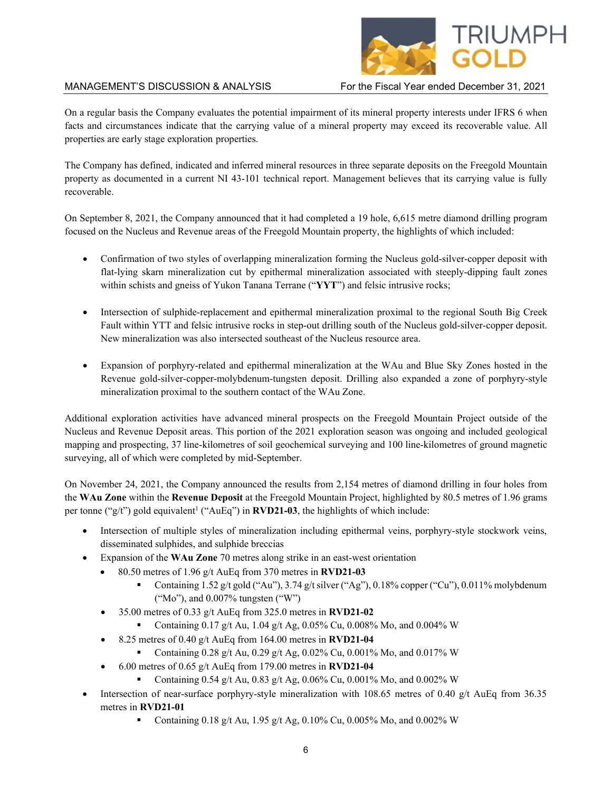# RIUMPH

# MANAGEMENT'S DISCUSSION & ANALYSIS For the Fiscal Year ended December 31, 2021

On a regular basis the Company evaluates the potential impairment of its mineral property interests under IFRS 6 when facts and circumstances indicate that the carrying value of a mineral property may exceed its recoverable value. All properties are early stage exploration properties.

The Company has defined, indicated and inferred mineral resources in three separate deposits on the Freegold Mountain property as documented in a current NI 43-101 technical report. Management believes that its carrying value is fully recoverable.

On September 8, 2021, the Company announced that it had completed a 19 hole, 6,615 metre diamond drilling program focused on the Nucleus and Revenue areas of the Freegold Mountain property, the highlights of which included:

- Confirmation of two styles of overlapping mineralization forming the Nucleus gold-silver-copper deposit with flat-lying skarn mineralization cut by epithermal mineralization associated with steeply-dipping fault zones within schists and gneiss of Yukon Tanana Terrane ("**YYT**") and felsic intrusive rocks;
- Intersection of sulphide-replacement and epithermal mineralization proximal to the regional South Big Creek Fault within YTT and felsic intrusive rocks in step-out drilling south of the Nucleus gold-silver-copper deposit. New mineralization was also intersected southeast of the Nucleus resource area.
- Expansion of porphyry-related and epithermal mineralization at the WAu and Blue Sky Zones hosted in the Revenue gold-silver-copper-molybdenum-tungsten deposit. Drilling also expanded a zone of porphyry-style mineralization proximal to the southern contact of the WAu Zone.

Additional exploration activities have advanced mineral prospects on the Freegold Mountain Project outside of the Nucleus and Revenue Deposit areas. This portion of the 2021 exploration season was ongoing and included geological mapping and prospecting, 37 line-kilometres of soil geochemical surveying and 100 line-kilometres of ground magnetic surveying, all of which were completed by mid-September.

On November 24, 2021, the Company announced the results from 2,154 metres of diamond drilling in four holes from the **WAu Zone** within the **Revenue Deposit** at the Freegold Mountain Project, highlighted by 80.5 metres of 1.96 grams per tonne (" $g/t$ ") gold equivalent<sup>1</sup> ("AuEq") in **RVD21-03**, the highlights of which include:

- Intersection of multiple styles of mineralization including epithermal veins, porphyry-style stockwork veins, disseminated sulphides, and sulphide breccias
- Expansion of the **WAu Zone** 70 metres along strike in an east-west orientation
	- 80.50 metres of 1.96 g/t AuEq from 370 metres in **RVD21-03** 
		- Containing 1.52 g/t gold ("Au"), 3.74 g/t silver ("Ag"), 0.18% copper ("Cu"), 0.011% molybdenum ("Mo"), and 0.007% tungsten ("W")
	- 35.00 metres of 0.33 g/t AuEq from 325.0 metres in **RVD21-02**
		- Containing 0.17 g/t Au, 1.04 g/t Ag, 0.05% Cu, 0.008% Mo, and 0.004% W
	- 8.25 metres of 0.40 g/t AuEq from 164.00 metres in **RVD21-04**
		- Containing 0.28 g/t Au, 0.29 g/t Ag, 0.02% Cu, 0.001% Mo, and 0.017% W
	- 6.00 metres of 0.65 g/t AuEq from 179.00 metres in **RVD21-04**
		- Containing 0.54 g/t Au, 0.83 g/t Ag, 0.06% Cu, 0.001% Mo, and 0.002% W
- Intersection of near-surface porphyry-style mineralization with 108.65 metres of 0.40 g/t AuEq from 36.35 metres in **RVD21-01**
	- Containing 0.18 g/t Au, 1.95 g/t Ag, 0.10% Cu, 0.005% Mo, and 0.002% W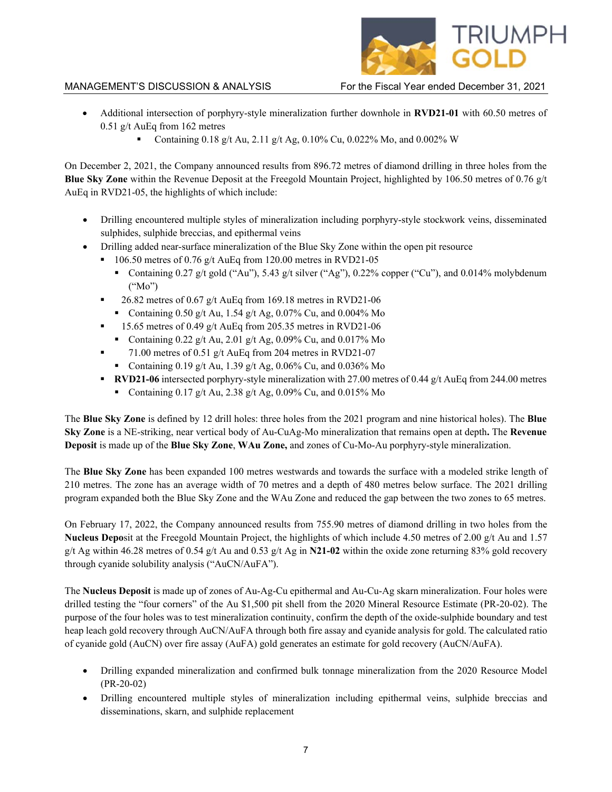

- Additional intersection of porphyry-style mineralization further downhole in **RVD21-01** with 60.50 metres of 0.51 g/t AuEq from 162 metres
	- Containing 0.18 g/t Au, 2.11 g/t Ag, 0.10% Cu, 0.022% Mo, and 0.002% W

On December 2, 2021, the Company announced results from 896.72 metres of diamond drilling in three holes from the **Blue Sky Zone** within the Revenue Deposit at the Freegold Mountain Project, highlighted by 106.50 metres of 0.76 g/t AuEq in RVD21-05, the highlights of which include:

- Drilling encountered multiple styles of mineralization including porphyry-style stockwork veins, disseminated sulphides, sulphide breccias, and epithermal veins
- Drilling added near-surface mineralization of the Blue Sky Zone within the open pit resource
	- $106.50$  metres of 0.76 g/t AuEq from 120.00 metres in RVD21-05
		- Containing 0.27 g/t gold ("Au"), 5.43 g/t silver ("Ag"), 0.22% copper ("Cu"), and 0.014% molybdenum ("Mo")
	- 26.82 metres of 0.67 g/t AuEq from 169.18 metres in RVD21-06
	- Containing 0.50 g/t Au, 1.54 g/t Ag, 0.07% Cu, and 0.004% Mo
	- 15.65 metres of 0.49 g/t AuEq from 205.35 metres in RVD21-06
	- Containing  $0.22$  g/t Au,  $2.01$  g/t Ag,  $0.09\%$  Cu, and  $0.017\%$  Mo
	- 71.00 metres of 0.51 g/t AuEq from 204 metres in RVD21-07
		- Containing 0.19 g/t Au, 1.39 g/t Ag, 0.06% Cu, and 0.036% Mo
	- **RVD21-06** intersected porphyry-style mineralization with 27.00 metres of 0.44 g/t AuEq from 244.00 metres
		- Containing 0.17 g/t Au, 2.38 g/t Ag, 0.09% Cu, and 0.015% Mo

The **Blue Sky Zone** is defined by 12 drill holes: three holes from the 2021 program and nine historical holes). The **Blue Sky Zone** is a NE-striking, near vertical body of Au-CuAg-Mo mineralization that remains open at depth**.** The **Revenue Deposit** is made up of the **Blue Sky Zone**, **WAu Zone,** and zones of Cu-Mo-Au porphyry-style mineralization.

The **Blue Sky Zone** has been expanded 100 metres westwards and towards the surface with a modeled strike length of 210 metres. The zone has an average width of 70 metres and a depth of 480 metres below surface. The 2021 drilling program expanded both the Blue Sky Zone and the WAu Zone and reduced the gap between the two zones to 65 metres.

On February 17, 2022, the Company announced results from 755.90 metres of diamond drilling in two holes from the **Nucleus Depo**sit at the Freegold Mountain Project, the highlights of which include 4.50 metres of 2.00 g/t Au and 1.57 g/t Ag within 46.28 metres of 0.54 g/t Au and 0.53 g/t Ag in  $N21-02$  within the oxide zone returning 83% gold recovery through cyanide solubility analysis ("AuCN/AuFA").

The **Nucleus Deposit** is made up of zones of Au-Ag-Cu epithermal and Au-Cu-Ag skarn mineralization. Four holes were drilled testing the "four corners" of the Au \$1,500 pit shell from the 2020 Mineral Resource Estimate (PR-20-02). The purpose of the four holes was to test mineralization continuity, confirm the depth of the oxide-sulphide boundary and test heap leach gold recovery through AuCN/AuFA through both fire assay and cyanide analysis for gold. The calculated ratio of cyanide gold (AuCN) over fire assay (AuFA) gold generates an estimate for gold recovery (AuCN/AuFA).

- Drilling expanded mineralization and confirmed bulk tonnage mineralization from the 2020 Resource Model (PR-20-02)
- Drilling encountered multiple styles of mineralization including epithermal veins, sulphide breccias and disseminations, skarn, and sulphide replacement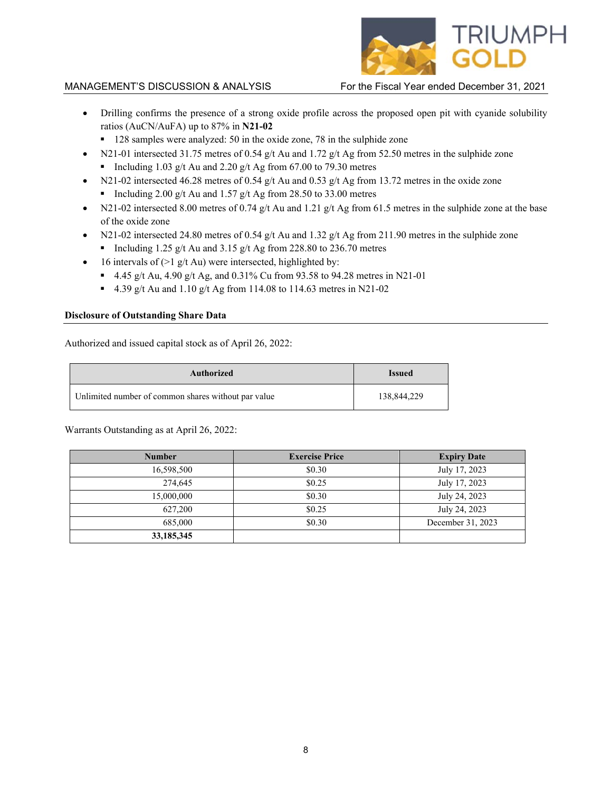

- Drilling confirms the presence of a strong oxide profile across the proposed open pit with cyanide solubility ratios (AuCN/AuFA) up to 87% in **N21-02**
	- 128 samples were analyzed: 50 in the oxide zone, 78 in the sulphide zone
- N21-01 intersected 31.75 metres of 0.54 g/t Au and 1.72 g/t Ag from 52.50 metres in the sulphide zone Including 1.03 g/t Au and 2.20 g/t Ag from 67.00 to 79.30 metres
- N21-02 intersected 46.28 metres of 0.54 g/t Au and 0.53 g/t Ag from 13.72 metres in the oxide zone Including 2.00 g/t Au and 1.57 g/t Ag from 28.50 to 33.00 metres
- N21-02 intersected 8.00 metres of 0.74 g/t Au and 1.21 g/t Ag from 61.5 metres in the sulphide zone at the base of the oxide zone
- N21-02 intersected 24.80 metres of 0.54 g/t Au and 1.32 g/t Ag from 211.90 metres in the sulphide zone
	- Including 1.25 g/t Au and 3.15 g/t Ag from 228.80 to 236.70 metres
- 16 intervals of  $(>1 \text{ g/t}$  Au) were intersected, highlighted by:
	- 4.45 g/t Au, 4.90 g/t Ag, and 0.31% Cu from 93.58 to 94.28 metres in N21-01
	- 4.39 g/t Au and 1.10 g/t Ag from 114.08 to 114.63 metres in N21-02

### **Disclosure of Outstanding Share Data**

Authorized and issued capital stock as of April 26, 2022:

| Authorized                                          | <b>Issued</b> |
|-----------------------------------------------------|---------------|
| Unlimited number of common shares without par value | 138,844,229   |

Warrants Outstanding as at April 26, 2022:

| <b>Number</b> | <b>Exercise Price</b> | <b>Expiry Date</b> |
|---------------|-----------------------|--------------------|
| 16,598,500    | \$0.30                | July 17, 2023      |
| 274,645       | \$0.25                | July 17, 2023      |
| 15,000,000    | \$0.30                | July 24, 2023      |
| 627,200       | \$0.25                | July 24, 2023      |
| 685,000       | \$0.30                | December 31, 2023  |
| 33,185,345    |                       |                    |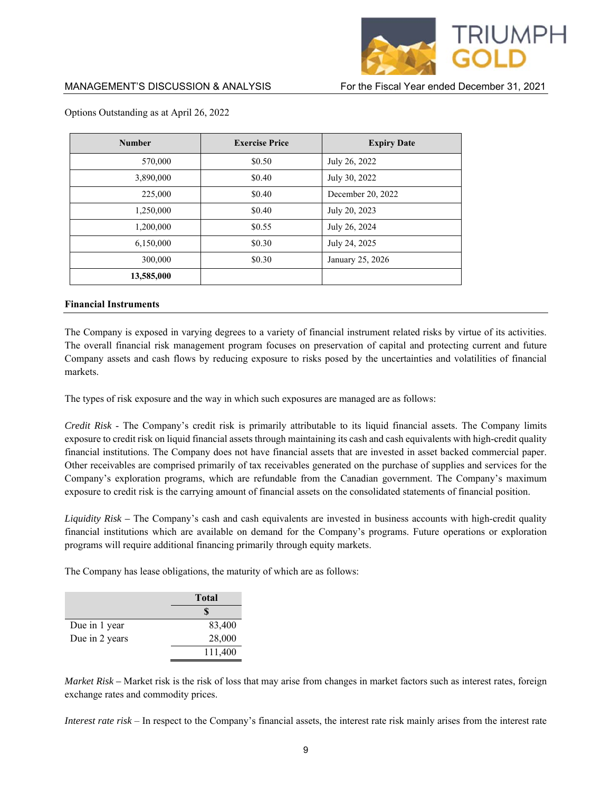

| <b>Number</b> | <b>Exercise Price</b> | <b>Expiry Date</b> |
|---------------|-----------------------|--------------------|
| 570,000       | \$0.50                | July 26, 2022      |
| 3,890,000     | \$0.40                | July 30, 2022      |
| 225,000       | \$0.40                | December 20, 2022  |
| 1,250,000     | \$0.40                | July 20, 2023      |
| 1,200,000     | \$0.55                | July 26, 2024      |
| 6,150,000     | \$0.30                | July 24, 2025      |
| 300,000       | \$0.30                | January 25, 2026   |
| 13,585,000    |                       |                    |

### Options Outstanding as at April 26, 2022

### **Financial Instruments**

The Company is exposed in varying degrees to a variety of financial instrument related risks by virtue of its activities. The overall financial risk management program focuses on preservation of capital and protecting current and future Company assets and cash flows by reducing exposure to risks posed by the uncertainties and volatilities of financial markets.

The types of risk exposure and the way in which such exposures are managed are as follows:

*Credit Risk* - The Company's credit risk is primarily attributable to its liquid financial assets. The Company limits exposure to credit risk on liquid financial assets through maintaining its cash and cash equivalents with high-credit quality financial institutions. The Company does not have financial assets that are invested in asset backed commercial paper. Other receivables are comprised primarily of tax receivables generated on the purchase of supplies and services for the Company's exploration programs, which are refundable from the Canadian government. The Company's maximum exposure to credit risk is the carrying amount of financial assets on the consolidated statements of financial position.

*Liquidity Risk –* The Company's cash and cash equivalents are invested in business accounts with high-credit quality financial institutions which are available on demand for the Company's programs. Future operations or exploration programs will require additional financing primarily through equity markets.

The Company has lease obligations, the maturity of which are as follows:

|                | Total   |  |
|----------------|---------|--|
|                |         |  |
| Due in 1 year  | 83,400  |  |
| Due in 2 years | 28,000  |  |
|                | 111,400 |  |

*Market Risk –* Market risk is the risk of loss that may arise from changes in market factors such as interest rates, foreign exchange rates and commodity prices.

*Interest rate risk* – In respect to the Company's financial assets, the interest rate risk mainly arises from the interest rate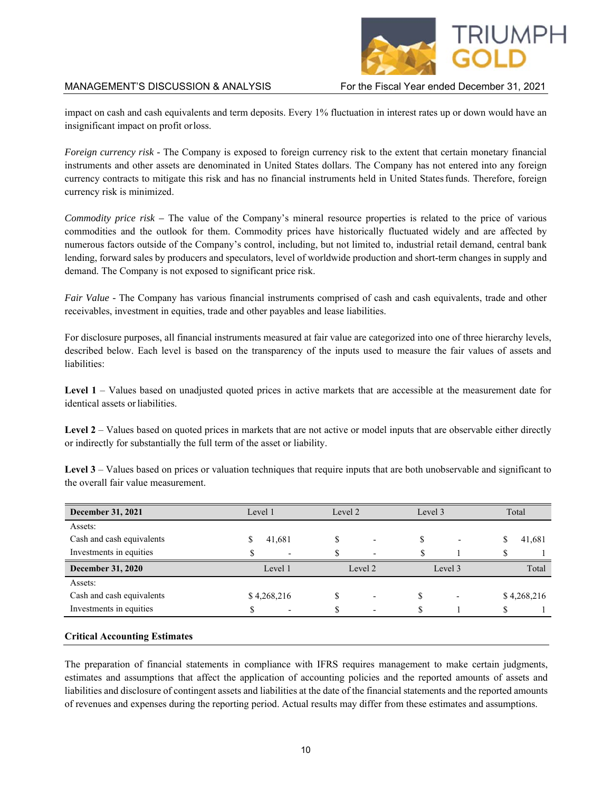

impact on cash and cash equivalents and term deposits. Every 1% fluctuation in interest rates up or down would have an insignificant impact on profit or loss.

*Foreign currency risk -* The Company is exposed to foreign currency risk to the extent that certain monetary financial instruments and other assets are denominated in United States dollars. The Company has not entered into any foreign currency contracts to mitigate this risk and has no financial instruments held in United States funds. Therefore, foreign currency risk is minimized.

*Commodity price risk –* The value of the Company's mineral resource properties is related to the price of various commodities and the outlook for them. Commodity prices have historically fluctuated widely and are affected by numerous factors outside of the Company's control, including, but not limited to, industrial retail demand, central bank lending, forward sales by producers and speculators, level of worldwide production and short-term changes in supply and demand. The Company is not exposed to significant price risk.

*Fair Value* - The Company has various financial instruments comprised of cash and cash equivalents, trade and other receivables, investment in equities, trade and other payables and lease liabilities.

For disclosure purposes, all financial instruments measured at fair value are categorized into one of three hierarchy levels, described below. Each level is based on the transparency of the inputs used to measure the fair values of assets and liabilities:

**Level 1** – Values based on unadjusted quoted prices in active markets that are accessible at the measurement date for identical assets or liabilities.

Level 2 – Values based on quoted prices in markets that are not active or model inputs that are observable either directly or indirectly for substantially the full term of the asset or liability.

**Level 3** – Values based on prices or valuation techniques that require inputs that are both unobservable and significant to the overall fair value measurement.

| <b>December 31, 2021</b>  | Level 1                  | Level 2                  | Level 3 | Total       |
|---------------------------|--------------------------|--------------------------|---------|-------------|
| Assets:                   |                          |                          |         |             |
| Cash and cash equivalents | 41,681                   |                          | ٠       | 41,681      |
| Investments in equities   | $\overline{\phantom{0}}$ | $\overline{\phantom{0}}$ |         |             |
| <b>December 31, 2020</b>  | Level 1                  | Level 2                  | Level 3 | Total       |
| Assets:                   |                          |                          |         |             |
| Cash and cash equivalents | \$4,268,216              | $\overline{\phantom{0}}$ | ъĐ      | \$4,268,216 |
| Investments in equities   | $\overline{\phantom{0}}$ | $\overline{\phantom{0}}$ |         |             |

### **Critical Accounting Estimates**

The preparation of financial statements in compliance with IFRS requires management to make certain judgments, estimates and assumptions that affect the application of accounting policies and the reported amounts of assets and liabilities and disclosure of contingent assets and liabilities at the date of the financial statements and the reported amounts of revenues and expenses during the reporting period. Actual results may differ from these estimates and assumptions.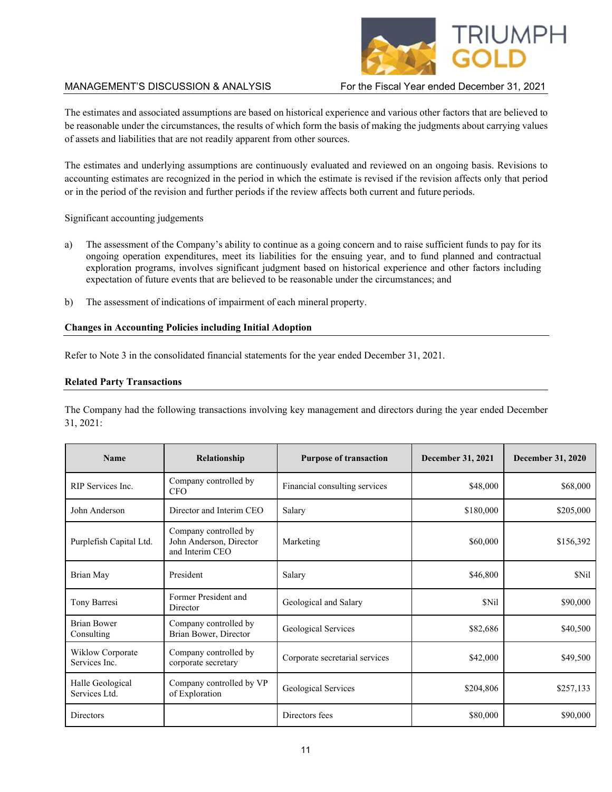

The estimates and associated assumptions are based on historical experience and various other factors that are believed to be reasonable under the circumstances, the results of which form the basis of making the judgments about carrying values of assets and liabilities that are not readily apparent from other sources.

The estimates and underlying assumptions are continuously evaluated and reviewed on an ongoing basis. Revisions to accounting estimates are recognized in the period in which the estimate is revised if the revision affects only that period or in the period of the revision and further periods if the review affects both current and future periods.

Significant accounting judgements

- a) The assessment of the Company's ability to continue as a going concern and to raise sufficient funds to pay for its ongoing operation expenditures, meet its liabilities for the ensuing year, and to fund planned and contractual exploration programs, involves significant judgment based on historical experience and other factors including expectation of future events that are believed to be reasonable under the circumstances; and
- b) The assessment of indications of impairment of each mineral property.

### **Changes in Accounting Policies including Initial Adoption**

Refer to Note 3 in the consolidated financial statements for the year ended December 31, 2021.

### **Related Party Transactions**

The Company had the following transactions involving key management and directors during the year ended December 31, 2021:

| <b>Name</b>                       | Relationship                                                        | <b>Purpose of transaction</b>  | <b>December 31, 2021</b> | <b>December 31, 2020</b> |
|-----------------------------------|---------------------------------------------------------------------|--------------------------------|--------------------------|--------------------------|
| RIP Services Inc.                 | Company controlled by<br><b>CFO</b>                                 | Financial consulting services  | \$48,000                 | \$68,000                 |
| John Anderson                     | Director and Interim CEO                                            | Salary                         | \$180,000                | \$205,000                |
| Purplefish Capital Ltd.           | Company controlled by<br>John Anderson, Director<br>and Interim CEO | Marketing                      | \$60,000                 | \$156,392                |
| Brian May                         | President                                                           | Salary                         | \$46,800                 | \$Nil                    |
| Tony Barresi                      | Former President and<br>Director                                    | Geological and Salary          | \$Nil                    | \$90,000                 |
| <b>Brian Bower</b><br>Consulting  | Company controlled by<br>Brian Bower, Director                      | Geological Services            | \$82,686                 | \$40,500                 |
| Wiklow Corporate<br>Services Inc. | Company controlled by<br>corporate secretary                        | Corporate secretarial services | \$42,000                 | \$49,500                 |
| Halle Geological<br>Services Ltd. | Company controlled by VP<br>of Exploration                          | Geological Services            | \$204,806                | \$257,133                |
| <b>Directors</b>                  |                                                                     | Directors fees                 | \$80,000                 | \$90,000                 |